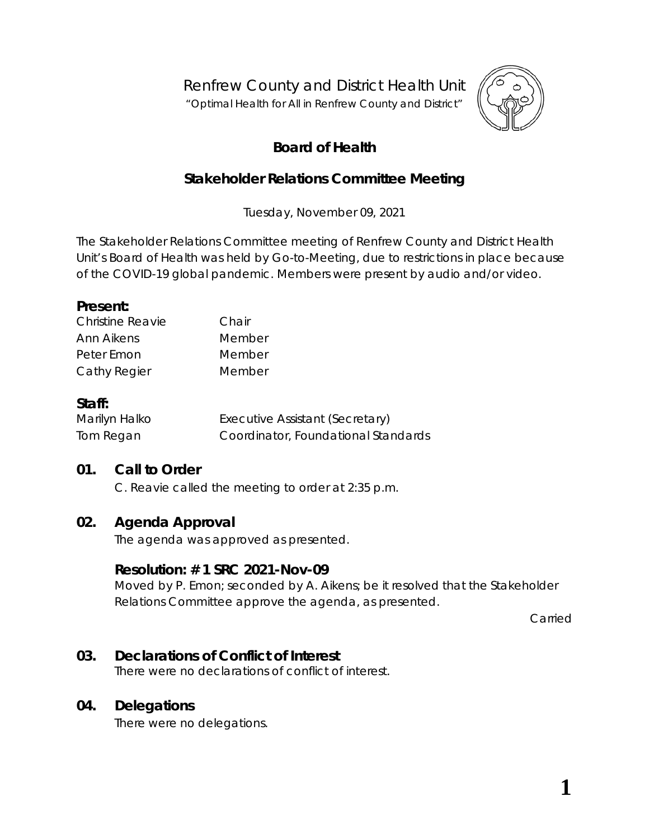Renfrew County and District Health Unit

"*Optimal Health for All in Renfrew County and District"*



# **Board of Health**

# **Stakeholder Relations Committee Meeting**

Tuesday, November 09, 2021

The Stakeholder Relations Committee meeting of Renfrew County and District Health Unit's Board of Health was held by *Go-to-Meeting,* due to restrictions in place because of the COVID-19 global pandemic. Members were present by audio and/or video.

#### **Present:**

| Christine Reavie | Chair  |
|------------------|--------|
| Ann Aikens       | Member |
| Peter Emon       | Member |
| Cathy Regier     | Member |

#### **Staff:**

| Marilyn Halko | Executive Assistant (Secretary)     |
|---------------|-------------------------------------|
| Tom Regan     | Coordinator, Foundational Standards |

# **01. Call to Order**

C. Reavie called the meeting to order at 2:35 p.m.

# **02. Agenda Approval**

The agenda was approved as presented.

#### **Resolution: # 1 SRC 2021-Nov-09**

Moved by P. Emon; seconded by A. Aikens; be it resolved that the Stakeholder Relations Committee approve the agenda, as presented.

Carried

#### **03. Declarations of Conflict of Interest**

There were no declarations of conflict of interest.

#### **04. Delegations**

There were no delegations.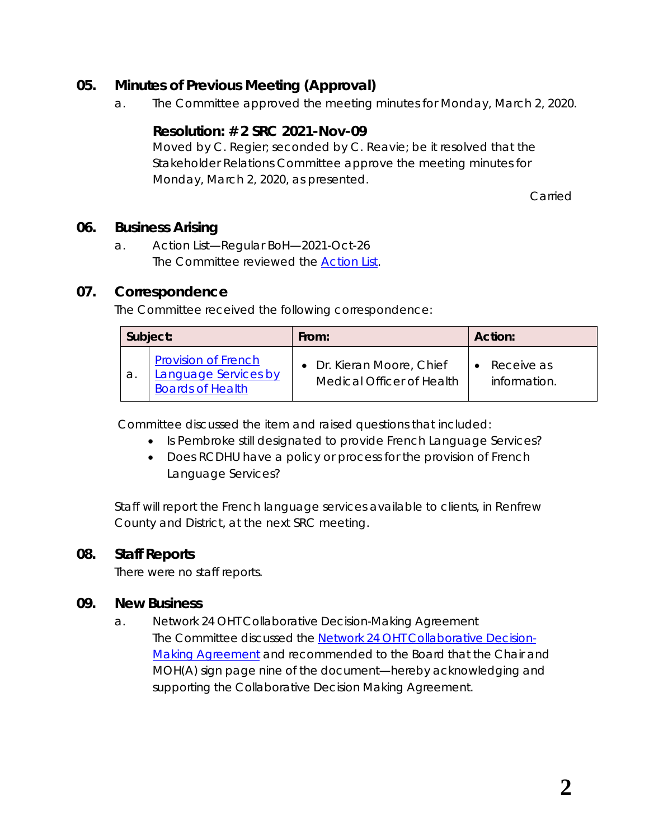# **05. Minutes of Previous Meeting (Approval)**

a. The Committee approved the meeting minutes for Monday, March 2, 2020.

### **Resolution: # 2 SRC 2021-Nov-09**

Moved by C. Regier; seconded by C. Reavie; be it resolved that the Stakeholder Relations Committee approve the meeting minutes for Monday, March 2, 2020, as presented.

Carried

#### **06. Business Arising**

a. Action List—Regular BoH—2021-Oct-26 The Committee reviewed the *[Action List](https://www.rcdhu.com/wp-content/uploads/2022/02/06.-a.-Action-List-Regular-BoH-Meeting-2021-Oct-26.pdf)*.

#### **07. Correspondence**

The Committee received the following correspondence:

|    | Subject:                                                                             | From:                                                  | Action:                    |
|----|--------------------------------------------------------------------------------------|--------------------------------------------------------|----------------------------|
| а. | <b>Provision of French</b><br><b>Language Services by</b><br><b>Boards of Health</b> | • Dr. Kieran Moore, Chief<br>Medical Officer of Health | Receive as<br>information. |

Committee discussed the item and raised questions that included:

- Is Pembroke still designated to provide French Language Services?
- Does RCDHU have a policy or process for the provision of French Language Services?

Staff will report the French language services available to clients, in Renfrew County and District, at the next SRC meeting.

# **08. Staff Reports**

There were no staff reports.

#### **09. New Business**

a. Network 24 OHT Collaborative Decision-Making Agreement The Committee discussed the *[Network 24 OHT Collaborative Decision-](https://www.rcdhu.com/wp-content/uploads/2022/04/09.-a.-i.-Network-24-Ontario-Health-Team-Agreement-for-signature-2021-Oct-27.pdf)[Making Agreement](https://www.rcdhu.com/wp-content/uploads/2022/04/09.-a.-i.-Network-24-Ontario-Health-Team-Agreement-for-signature-2021-Oct-27.pdf)* and recommended to the Board that the Chair and MOH(A) sign page nine of the document—*hereby acknowledging and supporting the Collaborative Decision Making Agreement*.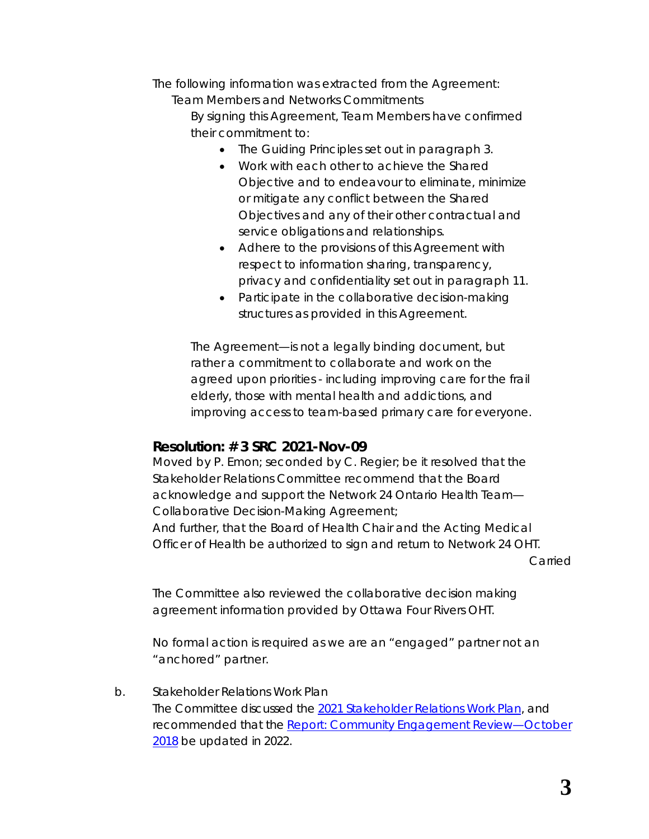The following information was extracted from the *Agreement*:

*Team Members and Networks Commitments* 

*By signing this Agreement, Team Members have confirmed their commitment to:* 

- *The Guiding Principles set out in paragraph 3.*
- *Work with each other to achieve the Shared Objective and to endeavour to eliminate, minimize or mitigate any conflict between the Shared Objectives and any of their other contractual and service obligations and relationships.*
- *Adhere to the provisions of this Agreement with respect to information sharing, transparency, privacy and confidentiality set out in paragraph 11.*
- *Participate in the collaborative decision-making structures as provided in this Agreement.*

The *Agreement—is not a legally binding document, but rather a commitment to collaborate and work on the agreed upon priorities - including improving care for the frail elderly, those with mental health and addictions, and improving access to team-based primary care for everyone.*

# **Resolution: # 3 SRC 2021-Nov-09**

Moved by P. Emon; seconded by C. Regier; be it resolved that the Stakeholder Relations Committee recommend that the Board acknowledge and support the Network 24 Ontario Health Team— Collaborative Decision-Making Agreement;

And further, that the Board of Health Chair and the Acting Medical Officer of Health be authorized to sign and return to Network 24 OHT.

Carried

The Committee also reviewed the collaborative decision making agreement information provided by Ottawa Four Rivers OHT.

No formal action is required as we are an "engaged" partner not an "anchored" partner.

#### b. Stakeholder Relations Work Plan

The Committee discussed the *[2021 Stakeholder Relations Work Plan](https://www.rcdhu.com/wp-content/uploads/2022/04/09.-c.-Stakeholder-Relations-Work-Plan-2021.pdf)*, and recommended that the *[Report: Community Engagement Review—October](https://www.rcdhu.com/wp-content/uploads/2022/04/09.-b.-Community-and-Stakeholder-Engagement-Strategy-RCDHU.pdf)  [2018](https://www.rcdhu.com/wp-content/uploads/2022/04/09.-b.-Community-and-Stakeholder-Engagement-Strategy-RCDHU.pdf)* be updated in 2022.